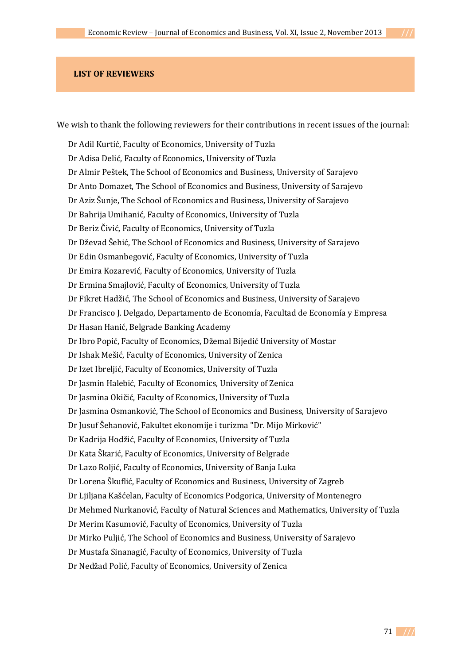## **LIST OF REVIEWERS**

We wish to thank the following reviewers for their contributions in recent issues of the journal:

Dr Adil Kurtić, Faculty of Economics, University of Tuzla Dr Adisa Delić, Faculty of Economics, University of Tuzla Dr Almir Peštek, The School of Economics and Business, University of Sarajevo Dr Anto Domazet, The School of Economics and Business, University of Sarajevo Dr Aziz Šunje, The School of Economics and Business, University of Sarajevo Dr Bahrija Umihanić, Faculty of Economics, University of Tuzla Dr Beriz Čivić, Faculty of Economics, University of Tuzla Dr Dževad Šehić, The School of Economics and Business, University of Sarajevo Dr Edin Osmanbegović, Faculty of Economics, University of Tuzla Dr Emira Kozarević, Faculty of Economics, University of Tuzla Dr Ermina Smajlović, Faculty of Economics, University of Tuzla Dr Fikret Hadžić, The School of Economics and Business, University of Sarajevo Dr Francisco J. Delgado, Departamento de Economía, Facultad de Economía y Empresa Dr Hasan Hanić, Belgrade Banking Academy Dr Ibro Popić, Faculty of Economics, Džemal Bijedić University of Mostar Dr Ishak Mešić, Faculty of Economics, University of Zenica Dr Izet Ibreljić, Faculty of Economics, University of Tuzla Dr Jasmin Halebić, Faculty of Economics, University of Zenica Dr Jasmina Okičić, Faculty of Economics, University of Tuzla Dr Jasmina Osmanković, The School of Economics and Business, University of Sarajevo Dr Jusuf Šehanović, Fakultet ekonomije i turizma "Dr. Mijo Mirković" Dr Kadrija Hodžić, Faculty of Economics, University of Tuzla Dr Kata Škarić, Faculty of Economics, University of Belgrade Dr Lazo Roljić, Faculty of Economics, University of Banja Luka Dr Lorena Škuflić, Faculty of Economics and Business, University of Zagreb Dr Ljiljana Kašćelan, Faculty of Economics Podgorica, University of Montenegro Dr Mehmed Nurkanović, Faculty of Natural Sciences and Mathematics, University of Tuzla Dr Merim Kasumović, Faculty of Economics, University of Tuzla Dr Mirko Puljić, The School of Economics and Business, University of Sarajevo Dr Mustafa Sinanagić, Faculty of Economics, University of Tuzla Dr Nedžad Polić, Faculty of Economics, University of Zenica